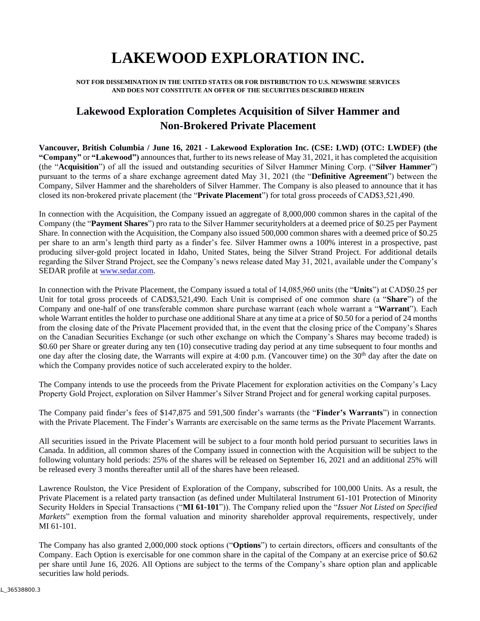## **LAKEWOOD EXPLORATION INC.**

## **NOT FOR DISSEMINATION IN THE UNITED STATES OR FOR DISTRIBUTION TO U.S. NEWSWIRE SERVICES AND DOES NOT CONSTITUTE AN OFFER OF THE SECURITIES DESCRIBED HEREIN**

## **Lakewood Exploration Completes Acquisition of Silver Hammer and Non-Brokered Private Placement**

**Vancouver, British Columbia / June 16, 2021 - Lakewood Exploration Inc. (CSE: LWD) (OTC: LWDEF) (the "Company"** or "Lakewood") announces that, further to its news release of May 31, 2021, it has completed the acquisition (the "**Acquisition**") of all the issued and outstanding securities of Silver Hammer Mining Corp. ("**Silver Hammer**") pursuant to the terms of a share exchange agreement dated May 31, 2021 (the "**Definitive Agreement**") between the Company, Silver Hammer and the shareholders of Silver Hammer. The Company is also pleased to announce that it has closed its non-brokered private placement (the "**Private Placement**") for total gross proceeds of CAD\$3,521,490.

In connection with the Acquisition, the Company issued an aggregate of 8,000,000 common shares in the capital of the Company (the "**Payment Shares**") pro rata to the Silver Hammer securityholders at a deemed price of \$0.25 per Payment Share. In connection with the Acquisition, the Company also issued 500,000 common shares with a deemed price of \$0.25 per share to an arm's length third party as a finder's fee. Silver Hammer owns a 100% interest in a prospective, past producing silver-gold project located in Idaho, United States, being the Silver Strand Project. For additional details regarding the Silver Strand Project, see the Company's news release dated May 31, 2021, available under the Company's SEDAR profile at [www.sedar.com.](http://www.sedar.com/)

In connection with the Private Placement, the Company issued a total of 14,085,960 units (the "**Units**") at CAD\$0.25 per Unit for total gross proceeds of CAD\$3,521,490. Each Unit is comprised of one common share (a "**Share**") of the Company and one-half of one transferable common share purchase warrant (each whole warrant a "**Warrant**"). Each whole Warrant entitles the holder to purchase one additional Share at any time at a price of \$0.50 for a period of 24 months from the closing date of the Private Placement provided that, in the event that the closing price of the Company's Shares on the Canadian Securities Exchange (or such other exchange on which the Company's Shares may become traded) is \$0.60 per Share or greater during any ten (10) consecutive trading day period at any time subsequent to four months and one day after the closing date, the Warrants will expire at 4:00 p.m. (Vancouver time) on the  $30<sup>th</sup>$  day after the date on which the Company provides notice of such accelerated expiry to the holder.

The Company intends to use the proceeds from the Private Placement for exploration activities on the Company's Lacy Property Gold Project, exploration on Silver Hammer's Silver Strand Project and for general working capital purposes.

The Company paid finder's fees of \$147,875 and 591,500 finder's warrants (the "**Finder's Warrants**") in connection with the Private Placement. The Finder's Warrants are exercisable on the same terms as the Private Placement Warrants.

All securities issued in the Private Placement will be subject to a four month hold period pursuant to securities laws in Canada. In addition, all common shares of the Company issued in connection with the Acquisition will be subject to the following voluntary hold periods: 25% of the shares will be released on September 16, 2021 and an additional 25% will be released every 3 months thereafter until all of the shares have been released.

Lawrence Roulston, the Vice President of Exploration of the Company, subscribed for 100,000 Units. As a result, the Private Placement is a related party transaction (as defined under Multilateral Instrument 61-101 Protection of Minority Security Holders in Special Transactions ("**MI 61-101**")). The Company relied upon the "*Issuer Not Listed on Specified Markets*" exemption from the formal valuation and minority shareholder approval requirements, respectively, under MI 61-101.

The Company has also granted 2,000,000 stock options ("**Options**") to certain directors, officers and consultants of the Company. Each Option is exercisable for one common share in the capital of the Company at an exercise price of \$0.62 per share until June 16, 2026. All Options are subject to the terms of the Company's share option plan and applicable securities law hold periods.